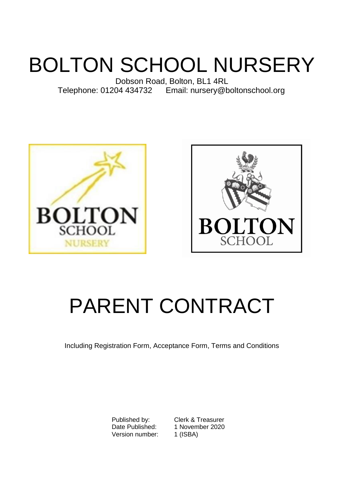# BOLTON SCHOOL NURSERY

Dobson Road, Bolton, BL1 4RL Telephone: 01204 434732 Email: nursery@boltonschool.org





## PARENT CONTRACT

Including Registration Form, Acceptance Form, Terms and Conditions

Version number: 1 (ISBA)

Published by: Clerk & Treasurer<br>Date Published: 1 November 2020 1 November 2020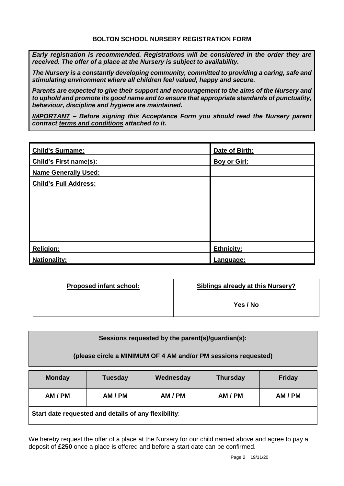*Early registration is recommended. Registrations will be considered in the order they are received. The offer of a place at the Nursery is subject to availability.*

*The Nursery is a constantly developing community, committed to providing a caring, safe and stimulating environment where all children feel valued, happy and secure.* 

*Parents are expected to give their support and encouragement to the aims of the Nursery and to uphold and promote its good name and to ensure that appropriate standards of punctuality, behaviour, discipline and hygiene are maintained.*

*IMPORTANT – Before signing this Acceptance Form you should read the Nursery parent contract terms and conditions attached to it.*

| <b>Child's Surname:</b>       | Date of Birth:      |
|-------------------------------|---------------------|
| <b>Child's First name(s):</b> | <b>Boy or Girl:</b> |
| <b>Name Generally Used:</b>   |                     |
| <b>Child's Full Address:</b>  |                     |
|                               |                     |
|                               |                     |
|                               |                     |
|                               |                     |
|                               |                     |
| <b>Religion:</b>              | <b>Ethnicity:</b>   |
| <b>Nationality:</b>           | Language:           |

| <b>Proposed infant school:</b> | <b>Siblings already at this Nursery?</b> |
|--------------------------------|------------------------------------------|
|                                | Yes / No                                 |

| Sessions requested by the parent(s)/guardian(s):               |                |           |                 |               |
|----------------------------------------------------------------|----------------|-----------|-----------------|---------------|
| (please circle a MINIMUM OF 4 AM and/or PM sessions requested) |                |           |                 |               |
| <b>Monday</b>                                                  | <b>Tuesday</b> | Wednesday | <b>Thursday</b> | <b>Friday</b> |
| AM / PM                                                        | AM / PM        | AM / PM   | AM / PM         | AM / PM       |
| .                                                              |                |           |                 |               |

**Start date requested and details of any flexibility**:

We hereby request the offer of a place at the Nursery for our child named above and agree to pay a deposit of **£250** once a place is offered and before a start date can be confirmed.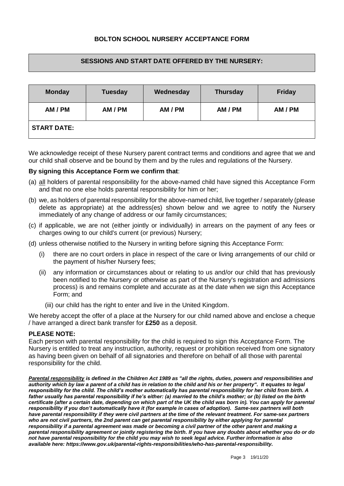## **BOLTON SCHOOL NURSERY ACCEPTANCE FORM**

#### **SESSIONS AND START DATE OFFERED BY THE NURSERY:**

| <b>Monday</b>      | <b>Tuesday</b> | Wednesday | <b>Thursday</b> | <b>Friday</b> |
|--------------------|----------------|-----------|-----------------|---------------|
| AM / PM            | AM / PM        | AM / PM   | AM / PM         | AM / PM       |
| <b>START DATE:</b> |                |           |                 |               |

We acknowledge receipt of these Nursery parent contract terms and conditions and agree that we and our child shall observe and be bound by them and by the rules and regulations of the Nursery.

#### **By signing this Acceptance Form we confirm that**:

- (a) all holders of parental responsibility for the above-named child have signed this Acceptance Form and that no one else holds parental responsibility for him or her;
- (b) we, as holders of parental responsibility for the above-named child, live together / separately (please delete as appropriate) at the address(es) shown below and we agree to notify the Nursery immediately of any change of address or our family circumstances;
- (c) if applicable, we are not (either jointly or individually) in arrears on the payment of any fees or charges owing to our child's current (or previous) Nursery;
- (d) unless otherwise notified to the Nursery in writing before signing this Acceptance Form:
	- (i) there are no court orders in place in respect of the care or living arrangements of our child or the payment of his/her Nursery fees;
	- (ii) any information or circumstances about or relating to us and/or our child that has previously been notified to the Nursery or otherwise as part of the Nursery's registration and admissions process) is and remains complete and accurate as at the date when we sign this Acceptance Form; and
		- (iii) our child has the right to enter and live in the United Kingdom.

We hereby accept the offer of a place at the Nursery for our child named above and enclose a cheque / have arranged a direct bank transfer for **£250** as a deposit.

#### **PLEASE NOTE:**

Each person with parental responsibility for the child is required to sign this Acceptance Form. The Nursery is entitled to treat any instruction, authority, request or prohibition received from one signatory as having been given on behalf of all signatories and therefore on behalf of all those with parental responsibility for the child.

*Parental responsibility is defined in the Children Act 1989 as "all the rights, duties, powers and responsibilities and authority which by law a parent of a child has in relation to the child and his or her property". It equates to legal responsibility for the child. The child's mother automatically has parental responsibility for her child from birth. A father usually has parental responsibility if he's either: (a) married to the child's mother; or (b) listed on the birth*  certificate (after a certain date, depending on which part of the UK the child was born in). You can apply for parental *responsibility if you don't automatically have it (for example in cases of adoption). Same-sex partners will both have parental responsibility if they were civil partners at the time of the relevant treatment. For same-sex partners*  who are not civil partners, the 2nd parent can get parental responsibility by either *applying for parental [responsibility](https://www.gov.uk/parental-rights-responsibilities/apply-for-parental-responsibility) if a parental agreement was made or becoming a civil partner of the other parent and making a parental responsibility agreement or jointly registering the birth. If you have any doubts about whether you do or do not have parental responsibility for the child you may wish to seek legal advice. Further information is also available here[: https://www.gov.uk/parental-rights-responsibilities/who-has-parental-responsibility.](https://www.gov.uk/parental-rights-responsibilities/who-has-parental-responsibility)*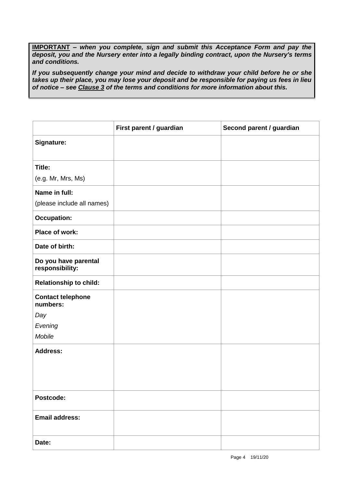**IMPORTANT** *– when you complete, sign and submit this Acceptance Form and pay the deposit, you and the Nursery enter into a legally binding contract, upon the Nursery's terms and conditions.* 

*If you subsequently change your mind and decide to withdraw your child before he or she takes up their place, you may lose your deposit and be responsible for paying us fees in lieu of notice – see Clause 3 of the terms and conditions for more information about this.*

|                                         | First parent / guardian | Second parent / guardian |
|-----------------------------------------|-------------------------|--------------------------|
| Signature:                              |                         |                          |
| Title:                                  |                         |                          |
| (e.g. Mr, Mrs, Ms)                      |                         |                          |
| Name in full:                           |                         |                          |
| (please include all names)              |                         |                          |
| <b>Occupation:</b>                      |                         |                          |
| Place of work:                          |                         |                          |
| Date of birth:                          |                         |                          |
| Do you have parental<br>responsibility: |                         |                          |
| <b>Relationship to child:</b>           |                         |                          |
| <b>Contact telephone</b><br>numbers:    |                         |                          |
| Day                                     |                         |                          |
| Evening                                 |                         |                          |
| Mobile                                  |                         |                          |
| <b>Address:</b>                         |                         |                          |
|                                         |                         |                          |
|                                         |                         |                          |
|                                         |                         |                          |
| Postcode:                               |                         |                          |
| <b>Email address:</b>                   |                         |                          |
| Date:                                   |                         |                          |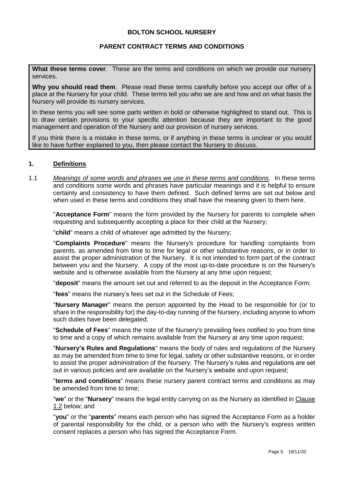#### **BOLTON SCHOOL NURSERY**

#### **PARENT CONTRACT TERMS AND CONDITIONS**

**What these terms cover**. These are the terms and conditions on which we provide our nursery services.

**Why you should read them**. Please read these terms carefully before you accept our offer of a place at the Nursery for your child. These terms tell you who we are and how and on what basis the Nursery will provide its nursery services.

In these terms you will see some parts written in bold or otherwise highlighted to stand out. This is to draw certain provisions to your specific attention because they are important to the good management and operation of the Nursery and our provision of nursery services.

If you think there is a mistake in these terms, or if anything in these terms is unclear or you would like to have further explained to you, then please contact the Nursery to discuss.

#### **1. Definitions**

1.1 *Meanings of some words and phrases we use in these terms and conditions.* In these terms and conditions some words and phrases have particular meanings and it is helpful to ensure certainty and consistency to have them defined. Such defined terms are set out below and when used in these terms and conditions they shall have the meaning given to them here.

"**Acceptance Form**" means the form provided by the Nursery for parents to complete when requesting and subsequently accepting a place for their child at the Nursery;

"**child**" means a child of whatever age admitted by the Nursery;

"**Complaints Procedure**" means the Nursery's procedure for handling complaints from parents, as amended from time to time for legal or other substantive reasons, or in order to assist the proper administration of the Nursery. It is not intended to form part of the contract between you and the Nursery. A copy of the most up-to-date procedure is on the Nursery's website and is otherwise available from the Nursery at any time upon request;

"**deposit**" means the amount set out and referred to as the deposit in the Acceptance Form;

"**fees**" means the nursery's fees set out in the Schedule of Fees;

"**Nursery Manager**" means the person appointed by the Head to be responsible for (or to share in the responsibility for) the day-to-day running of the Nursery, including anyone to whom such duties have been delegated:

"**Schedule of Fees**" means the note of the Nursery's prevailing fees notified to you from time to time and a copy of which remains available from the Nursery at any time upon request;

"**Nursery's Rules and Regulations**" means the body of rules and regulations of the Nursery as may be amended from time to time for legal, safety or other substantive reasons, or in order to assist the proper administration of the Nursery. The Nursery's rules and regulations are set out in various policies and are available on the Nursery's website and upon request;

"**terms and conditions**" means these nursery parent contract terms and conditions as may be amended from time to time;

"**we**" or the "**Nursery**" means the legal entity carrying on as the Nursery as identified in Clause 1.2 below; and

"**you**" or the "**parents**" means each person who has signed the Acceptance Form as a holder of parental responsibility for the child, or a person who with the Nursery's express written consent replaces a person who has signed the Acceptance Form.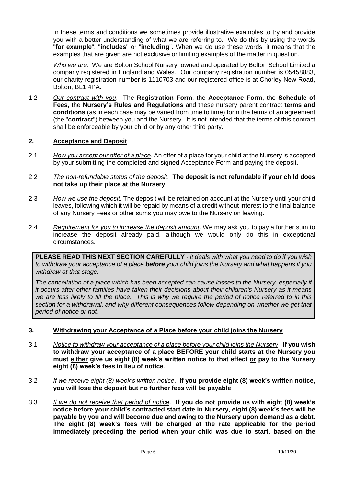In these terms and conditions we sometimes provide illustrative examples to try and provide you with a better understanding of what we are referring to. We do this by using the words "**for example**", "**includes**" or "**including**". When we do use these words, it means that the examples that are given are not exclusive or limiting examples of the matter in question.

*Who we are*. We are Bolton School Nursery, owned and operated by Bolton School Limited a company registered in England and Wales. Our company registration number is 05458883, our charity registration number is 1110703 and our registered office is at Chorley New Road, Bolton, BL1 4PA.

1.2 *Our contract with you*. The **Registration Form**, the **Acceptance Form**, the **Schedule of Fees**, the **Nursery's Rules and Regulations** and these nursery parent contract **terms and conditions** (as in each case may be varied from time to time) form the terms of an agreement (the "**contract**") between you and the Nursery. It is not intended that the terms of this contract shall be enforceable by your child or by any other third party.

#### **2. Acceptance and Deposit**

- 2.1 *How you accept our offer of a place.* An offer of a place for your child at the Nursery is accepted by your submitting the completed and signed Acceptance Form and paying the deposit.
- 2.2 *The non-refundable status of the deposit*. **The deposit is not refundable if your child does not take up their place at the Nursery**.
- 2.3 *How we use the deposit*. The deposit will be retained on account at the Nursery until your child leaves, following which it will be repaid by means of a credit without interest to the final balance of any Nursery Fees or other sums you may owe to the Nursery on leaving.
- 2.4 *Requirement for you to increase the deposit amount*. We may ask you to pay a further sum to increase the deposit already paid, although we would only do this in exceptional circumstances.

**PLEASE READ THIS NEXT SECTION CAREFULLY** *- it deals with what you need to do if you wish to withdraw your acceptance of a place before your child joins the Nursery and what happens if you withdraw at that stage.*

*The cancellation of a place which has been accepted can cause losses to the Nursery, especially if it occurs after other families have taken their decisions about their children's Nursery as it means we are less likely to fill the place. This is why we require the period of notice referred to in this*  section for a withdrawal, and why different consequences follow depending on whether we get that *period of notice or not.*

#### **3. Withdrawing your Acceptance of a Place before your child joins the Nursery**

- 3.1 *Notice to withdraw your acceptance of a place before your child joins the Nursery*. **If you wish to withdraw your acceptance of a place BEFORE your child starts at the Nursery you must either give us eight (8) week's written notice to that effect or pay to the Nursery eight (8) week's fees in lieu of notice**.
- 3.2 *If we receive eight (8) week's written notice*. **If you provide eight (8) week's written notice, you will lose the deposit but no further fees will be payable**.
- 3.3 *If we do not receive that period of notice*. **If you do not provide us with eight (8) week's notice before your child's contracted start date in Nursery, eight (8) week's fees will be payable by you and will become due and owing to the Nursery upon demand as a debt. The eight (8) week's fees will be charged at the rate applicable for the period immediately preceding the period when your child was due to start, based on the**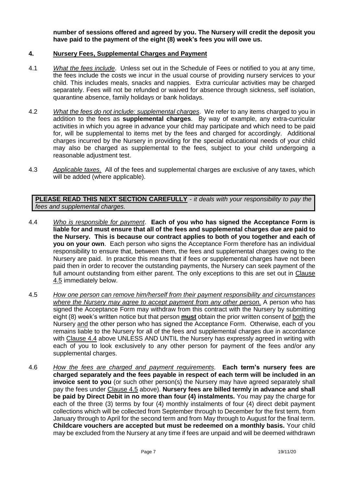**number of sessions offered and agreed by you. The Nursery will credit the deposit you have paid to the payment of the eight (8) week's fees you will owe us.** 

#### **4. Nursery Fees, Supplemental Charges and Payment**

- 4.1 *What the fees include*. Unless set out in the Schedule of Fees or notified to you at any time, the fees include the costs we incur in the usual course of providing nursery services to your child. This includes meals, snacks and nappies. Extra curricular activities may be charged separately. Fees will not be refunded or waived for absence through sickness, self isolation, quarantine absence, family holidays or bank holidays.
- 4.2 *What the fees do not include: supplemental charges*. We refer to any items charged to you in addition to the fees as **supplemental charges**. By way of example, any extra-curricular activities in which you agree in advance your child may participate and which need to be paid for, will be supplemental to items met by the fees and charged for accordingly. Additional charges incurred by the Nursery in providing for the special educational needs of your child may also be charged as supplemental to the fees, subject to your child undergoing a reasonable adjustment test.
- 4.3 *Applicable taxes.* All of the fees and supplemental charges are exclusive of any taxes, which will be added (where applicable).

**PLEASE READ THIS NEXT SECTION CAREFULLY** *- it deals with your responsibility to pay the fees and supplemental charges.*

- 4.4 *Who is responsible for payment*. **Each of you who has signed the Acceptance Form is liable for and must ensure that all of the fees and supplemental charges due are paid to the Nursery. This is because our contract applies to both of you together and each of you on your own**. Each person who signs the Acceptance Form therefore has an individual responsibility to ensure that, between them, the fees and supplemental charges owing to the Nursery are paid. In practice this means that if fees or supplemental charges have not been paid then in order to recover the outstanding payments, the Nursery can seek payment of the full amount outstanding from either parent. The only exceptions to this are set out in Clause 4.5 immediately below.
- 4.5 *How one person can remove him/herself from their payment responsibility and circumstances where the Nursery may agree to accept payment from any other person.* A person who has signed the Acceptance Form may withdraw from this contract with the Nursery by submitting eight (8) week's written notice but that person **must** obtain the prior written consent of both the Nursery and the other person who has signed the Acceptance Form. Otherwise, each of you remains liable to the Nursery for all of the fees and supplemental charges due in accordance with Clause 4.4 above UNLESS AND UNTIL the Nursery has expressly agreed in writing with each of you to look exclusively to any other person for payment of the fees and/or any supplemental charges.
- 4.6 *How the fees are charged and payment requirements*. **Each term's nursery fees are charged separately and the fees payable in respect of each term will be included in an invoice sent to you** (or such other person(s) the Nursery may have agreed separately shall pay the fees under Clause 4.5 above). **Nursery fees are billed termly in advance and shall be paid by Direct Debit in no more than four (4) instalments.** You may pay the charge for each of the three (3) terms by four (4) monthly instalments of four (4) direct debit payment collections which will be collected from September through to December for the first term, from January through to April for the second term and from May through to August for the final term. **Childcare vouchers are accepted but must be redeemed on a monthly basis.** Your child may be excluded from the Nursery at any time if fees are unpaid and will be deemed withdrawn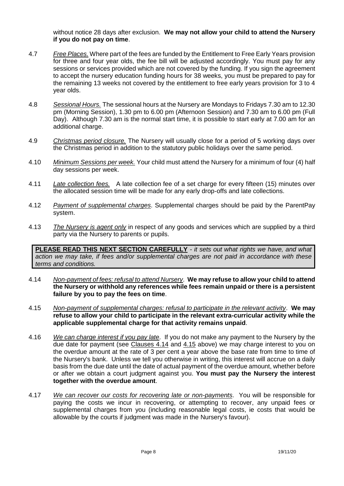without notice 28 days after exclusion. **We may not allow your child to attend the Nursery if you do not pay on time**.

- 4.7 *Free Places.* Where part of the fees are funded by the Entitlement to Free Early Years provision for three and four year olds, the fee bill will be adjusted accordingly. You must pay for any sessions or services provided which are not covered by the funding. If you sign the agreement to accept the nursery education funding hours for 38 weeks, you must be prepared to pay for the remaining 13 weeks not covered by the entitlement to free early years provision for 3 to 4 year olds.
- 4.8 *Sessional Hours.* The sessional hours at the Nursery are Mondays to Fridays 7.30 am to 12.30 pm (Morning Session), 1.30 pm to 6.00 pm (Afternoon Session) and 7.30 am to 6.00 pm (Full Day). Although 7.30 am is the normal start time, it is possible to start early at 7.00 am for an additional charge.
- 4.9 *Christmas period closure.* The Nursery will usually close for a period of 5 working days over the Christmas period in addition to the statutory public holidays over the same period.
- 4.10 *Minimum Sessions per week.* Your child must attend the Nursery for a minimum of four (4) half day sessions per week.
- 4.11 *Late collection fees.* A late collection fee of a set charge for every fifteen (15) minutes over the allocated session time will be made for any early drop-offs and late collections.
- 4.12 *Payment of supplemental charges*. Supplemental charges should be paid by the ParentPay system.
- 4.13 *The Nursery is agent only* in respect of any goods and services which are supplied by a third party via the Nursery to parents or pupils.

**PLEASE READ THIS NEXT SECTION CAREFULLY** *- it sets out what rights we have, and what action we may take, if fees and/or supplemental charges are not paid in accordance with these terms and conditions.*

- 4.14 *Non-payment of fees: refusal to attend Nursery*. **We may refuse to allow your child to attend the Nursery or withhold any references while fees remain unpaid or there is a persistent failure by you to pay the fees on time**.
- 4.15 *Non-payment of supplemental charges: refusal to participate in the relevant activity*. **We may refuse to allow your child to participate in the relevant extra-curricular activity while the applicable supplemental charge for that activity remains unpaid**.
- 4.16 *We can charge interest if you pay late*. If you do not make any payment to the Nursery by the due date for payment (see Clauses 4.14 and 4.15 above) we may charge interest to you on the overdue amount at the rate of 3 per cent a year above the base rate from time to time of the Nursery's bank. Unless we tell you otherwise in writing, this interest will accrue on a daily basis from the due date until the date of actual payment of the overdue amount, whether before or after we obtain a court judgment against you. **You must pay the Nursery the interest together with the overdue amount**.
- 4.17 *We can recover our costs for recovering late or non-payments*. You will be responsible for paying the costs we incur in recovering, or attempting to recover, any unpaid fees or supplemental charges from you (including reasonable legal costs, ie costs that would be allowable by the courts if judgment was made in the Nursery's favour).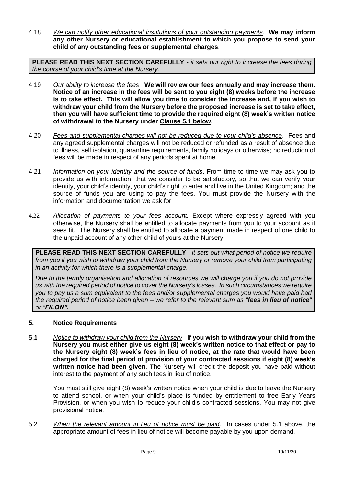4.18 *We can notify other educational institutions of your outstanding payments*. **We may inform any other Nursery or educational establishment to which you propose to send your child of any outstanding fees or supplemental charges**.

**PLEASE READ THIS NEXT SECTION CAREFULLY** *- it sets our right to increase the fees during the course of your child's time at the Nursery.*

- 4.19 *Our ability to increase the fees*. **We will review our fees annually and may increase them. Notice of an increase in the fees will be sent to you eight (8) weeks before the increase is to take effect. This will allow you time to consider the increase and, if you wish to withdraw your child from the Nursery before the proposed increase is set to take effect, then you will have sufficient time to provide the required eight (8) week's written notice of withdrawal to the Nursery under Clause 5.1 below.**
- 4.20 *Fees and supplemental charges will not be reduced due to your child's absence*. Fees and any agreed supplemental charges will not be reduced or refunded as a result of absence due to illness, self isolation, quarantine requirements, family holidays or otherwise; no reduction of fees will be made in respect of any periods spent at home.
- 4.21 *Information on your identity and the source of funds*. From time to time we may ask you to provide us with information, that we consider to be satisfactory, so that we can verify your identity, your child's identity, your child's right to enter and live in the United Kingdom; and the source of funds you are using to pay the fees. You must provide the Nursery with the information and documentation we ask for.
- 4.22 *Allocation of payments to your fees account.* Except where expressly agreed with you otherwise, the Nursery shall be entitled to allocate payments from you to your account as it sees fit. The Nursery shall be entitled to allocate a payment made in respect of one child to the unpaid account of any other child of yours at the Nursery.

**PLEASE READ THIS NEXT SECTION CAREFULLY** *- it sets out what period of notice we require from you if you wish to withdraw your child from the Nursery or remove your child from participating in an activity for which there is a supplemental charge.*

*Due to the termly organisation and allocation of resources we will charge you if you do not provide us with the required period of notice to cover the Nursery's losses. In such circumstances we require you to pay us a sum equivalent to the fees and/or supplemental charges you would have paid had the required period of notice been given – we refer to the relevant sum as "fees in lieu of notice" or "FILON".* 

#### **5. Notice Requirements**

5.1 *Notice to withdraw your child from the Nursery*. **If you wish to withdraw your child from the Nursery you must either give us eight (8) week's written notice to that effect or pay to the Nursery eight (8) week's fees in lieu of notice, at the rate that would have been charged for the final period of provision of your contracted sessions if eight (8) week's written notice had been given**. The Nursery will credit the deposit you have paid without interest to the payment of any such fees in lieu of notice.

You must still give eight (8) week's written notice when your child is due to leave the Nursery to attend school, or when your child's place is funded by entitlement to free Early Years Provision, or when you wish to reduce your child's contracted sessions. You may not give provisional notice.

5.2 *When the relevant amount in lieu of notice must be paid*. In cases under 5.1 above, the appropriate amount of fees in lieu of notice will become payable by you upon demand.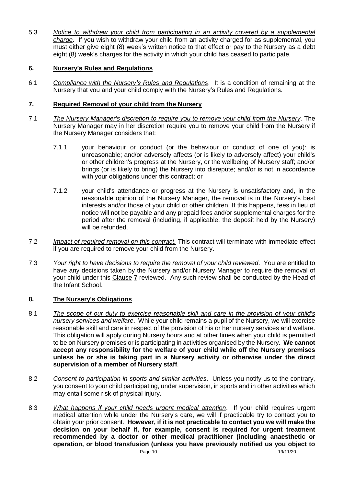5.3 *Notice to withdraw your child from participating in an activity covered by a supplemental charge*. If you wish to withdraw your child from an activity charged for as supplemental, you must either give eight (8) week's written notice to that effect or pay to the Nursery as a debt eight (8) week's charges for the activity in which your child has ceased to participate.

## **6. Nursery's Rules and Regulations**

6.1 *Compliance with the Nursery's Rules and Regulations*. It is a condition of remaining at the Nursery that you and your child comply with the Nursery's Rules and Regulations.

#### **7. Required Removal of your child from the Nursery**

- 7.1 *The Nursery Manager's discretion to require you to remove your child from the Nursery*. The Nursery Manager may in her discretion require you to remove your child from the Nursery if the Nursery Manager considers that:
	- 7.1.1 your behaviour or conduct (or the behaviour or conduct of one of you): is unreasonable; and/or adversely affects (or is likely to adversely affect) your child's or other children's progress at the Nursery, or the wellbeing of Nursery staff; and/or brings (or is likely to bring) the Nursery into disrepute; and/or is not in accordance with your obligations under this contract; or
	- 7.1.2 your child's attendance or progress at the Nursery is unsatisfactory and, in the reasonable opinion of the Nursery Manager, the removal is in the Nursery's best interests and/or those of your child or other children. If this happens, fees in lieu of notice will not be payable and any prepaid fees and/or supplemental charges for the period after the removal (including, if applicable, the deposit held by the Nursery) will be refunded.
- 7.2 *Impact of required removal on this contract.* This contract will terminate with immediate effect if you are required to remove your child from the Nursery.
- 7.3 *Your right to have decisions to require the removal of your child reviewed*. You are entitled to have any decisions taken by the Nursery and/or Nursery Manager to require the removal of your child under this Clause 7 reviewed. Any such review shall be conducted by the Head of the Infant School.

## **8. The Nursery's Obligations**

- 8.1 *The scope of our duty to exercise reasonable skill and care in the provision of your child's nursery services and welfare*. While your child remains a pupil of the Nursery, we will exercise reasonable skill and care in respect of the provision of his or her nursery services and welfare. This obligation will apply during Nursery hours and at other times when your child is permitted to be on Nursery premises or is participating in activities organised by the Nursery. **We cannot accept any responsibility for the welfare of your child while off the Nursery premises unless he or she is taking part in a Nursery activity or otherwise under the direct supervision of a member of Nursery staff**.
- 8.2 *Consent to participation in sports and similar activities*. Unless you notify us to the contrary, you consent to your child participating, under supervision, in sports and in other activities which may entail some risk of physical injury.
- Page 10 19/11/20 8.3 *What happens if your child needs urgent medical attention*. If your child requires urgent medical attention while under the Nursery's care, we will if practicable try to contact you to obtain your prior consent. **However, if it is not practicable to contact you we will make the decision on your behalf if, for example, consent is required for urgent treatment recommended by a doctor or other medical practitioner (including anaesthetic or operation, or blood transfusion (unless you have previously notified us you object to**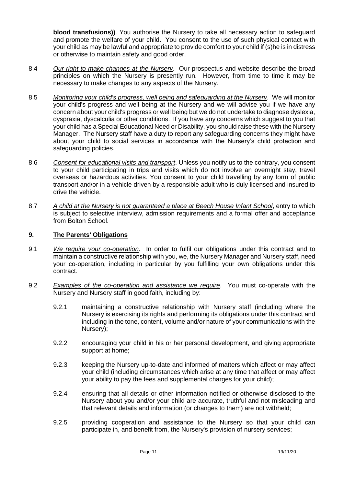**blood transfusions))**. You authorise the Nursery to take all necessary action to safeguard and promote the welfare of your child. You consent to the use of such physical contact with your child as may be lawful and appropriate to provide comfort to your child if (s)he is in distress or otherwise to maintain safety and good order.

- 8.4 *Our right to make changes at the Nursery*. Our prospectus and website describe the broad principles on which the Nursery is presently run. However, from time to time it may be necessary to make changes to any aspects of the Nursery.
- 8.5 *Monitoring your child's progress, well being and safeguarding at the Nursery*. We will monitor your child's progress and well being at the Nursery and we will advise you if we have any concern about your child's progress or well being but we do not undertake to diagnose dyslexia, dyspraxia, dyscalculia or other conditions. If you have any concerns which suggest to you that your child has a Special Educational Need or Disability, you should raise these with the Nursery Manager. The Nursery staff have a duty to report any safeguarding concerns they might have about your child to social services in accordance with the Nursery's child protection and safeguarding policies.
- 8.6 *Consent for educational visits and transport*. Unless you notify us to the contrary, you consent to your child participating in trips and visits which do not involve an overnight stay, travel overseas or hazardous activities. You consent to your child travelling by any form of public transport and/or in a vehicle driven by a responsible adult who is duly licensed and insured to drive the vehicle.
- 8.7 *A child at the Nursery is not guaranteed a place at Beech House Infant School*, entry to which is subject to selective interview, admission requirements and a formal offer and acceptance from Bolton School.

## **9. The Parents' Obligations**

- 9.1 *We require your co-operation*. In order to fulfil our obligations under this contract and to maintain a constructive relationship with you, we, the Nursery Manager and Nursery staff, need your co-operation, including in particular by you fulfilling your own obligations under this contract.
- 9.2 *Examples of the co-operation and assistance we require*. You must co-operate with the Nursery and Nursery staff in good faith, including by:
	- 9.2.1 maintaining a constructive relationship with Nursery staff (including where the Nursery is exercising its rights and performing its obligations under this contract and including in the tone, content, volume and/or nature of your communications with the Nursery);
	- 9.2.2 encouraging your child in his or her personal development, and giving appropriate support at home;
	- 9.2.3 keeping the Nursery up-to-date and informed of matters which affect or may affect your child (including circumstances which arise at any time that affect or may affect your ability to pay the fees and supplemental charges for your child);
	- 9.2.4 ensuring that all details or other information notified or otherwise disclosed to the Nursery about you and/or your child are accurate, truthful and not misleading and that relevant details and information (or changes to them) are not withheld;
	- 9.2.5 providing cooperation and assistance to the Nursery so that your child can participate in, and benefit from, the Nursery's provision of nursery services;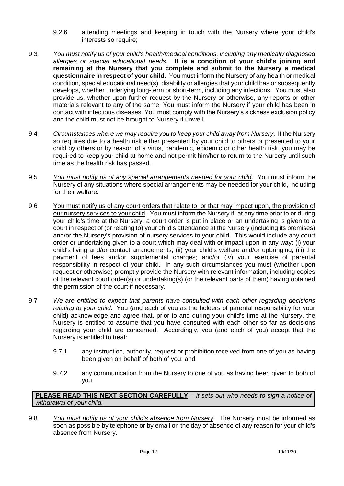- 9.2.6 attending meetings and keeping in touch with the Nursery where your child's interests so require;
- 9.3 *You must notify us of your child's health/medical conditions, including any medically diagnosed allergies or special educational needs*. **It is a condition of your child's joining and remaining at the Nursery that you complete and submit to the Nursery a medical questionnaire in respect of your child.** You must inform the Nursery of any health or medical condition, special educational need(s), disability or allergies that your child has or subsequently develops, whether underlying long-term or short-term, including any infections. You must also provide us, whether upon further request by the Nursery or otherwise, any reports or other materials relevant to any of the same. You must inform the Nursery if your child has been in contact with infectious diseases. You must comply with the Nursery's sickness exclusion policy and the child must not be brought to Nursery if unwell.
- 9.4 *Circumstances where we may require you to keep your child away from Nursery*. If the Nursery so requires due to a health risk either presented by your child to others or presented to your child by others or by reason of a virus, pandemic, epidemic or other health risk, you may be required to keep your child at home and not permit him/her to return to the Nursery until such time as the health risk has passed.
- 9.5 *You must notify us of any special arrangements needed for your child*. You must inform the Nursery of any situations where special arrangements may be needed for your child, including for their welfare.
- 9.6 You must notify us of any court orders that relate to, or that may impact upon, the provision of our nursery services to your child. You must inform the Nursery if, at any time prior to or during your child's time at the Nursery, a court order is put in place or an undertaking is given to a court in respect of (or relating to) your child's attendance at the Nursery (including its premises) and/or the Nursery's provision of nursery services to your child. This would include any court order or undertaking given to a court which may deal with or impact upon in any way: (i) your child's living and/or contact arrangements; (ii) your child's welfare and/or upbringing; (iii) the payment of fees and/or supplemental charges; and/or (iv) your exercise of parental responsibility in respect of your child. In any such circumstances you must (whether upon request or otherwise) promptly provide the Nursery with relevant information, including copies of the relevant court order(s) or undertaking(s) (or the relevant parts of them) having obtained the permission of the court if necessary.
- 9.7 *We are entitled to expect that parents have consulted with each other regarding decisions relating to your child*. You (and each of you as the holders of parental responsibility for your child) acknowledge and agree that, prior to and during your child's time at the Nursery, the Nursery is entitled to assume that you have consulted with each other so far as decisions regarding your child are concerned. Accordingly, you (and each of you) accept that the Nursery is entitled to treat:
	- 9.7.1 any instruction, authority, request or prohibition received from one of you as having been given on behalf of both of you; and
	- 9.7.2 any communication from the Nursery to one of you as having been given to both of you.

**PLEASE READ THIS NEXT SECTION CAREFULLY** *– it sets out who needs to sign a notice of withdrawal of your child.*

9.8 *You must notify us of your child's absence from Nursery*. The Nursery must be informed as soon as possible by telephone or by email on the day of absence of any reason for your child's absence from Nursery.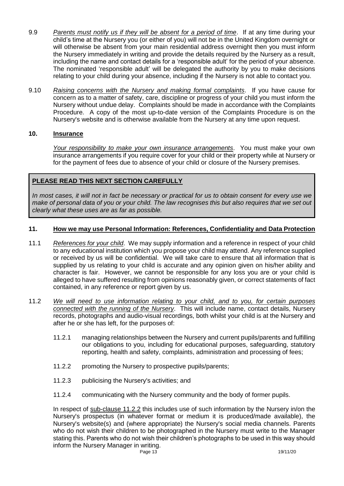- 9.9 *Parents must notify us if they will be absent for a period of time*. If at any time during your child's time at the Nursery you (or either of you) will not be in the United Kingdom overnight or will otherwise be absent from your main residential address overnight then you must inform the Nursery immediately in writing and provide the details required by the Nursery as a result, including the name and contact details for a 'responsible adult' for the period of your absence. The nominated 'responsible adult' will be delegated the authority by you to make decisions relating to your child during your absence, including if the Nursery is not able to contact you.
- 9.10 *Raising concerns with the Nursery and making formal complaints*. If you have cause for concern as to a matter of safety, care, discipline or progress of your child you must inform the Nursery without undue delay. Complaints should be made in accordance with the Complaints Procedure. A copy of the most up-to-date version of the Complaints Procedure is on the Nursery's website and is otherwise available from the Nursery at any time upon request.

## **10. Insurance**

*Your responsibility to make your own insurance arrangements*. You must make your own insurance arrangements if you require cover for your child or their property while at Nursery or for the payment of fees due to absence of your child or closure of the Nursery premises.

## **PLEASE READ THIS NEXT SECTION CAREFULLY**

*In most cases, it will not in fact be necessary or practical for us to obtain consent for every use we make of personal data of you or your child. The law recognises this but also requires that we set out clearly what these uses are as far as possible.* 

#### **11. How we may use Personal Information: References, Confidentiality and Data Protection**

- 11.1 *References for your child*. We may supply information and a reference in respect of your child to any educational institution which you propose your child may attend. Any reference supplied or received by us will be confidential. We will take care to ensure that all information that is supplied by us relating to your child is accurate and any opinion given on his/her ability and character is fair. However, we cannot be responsible for any loss you are or your child is alleged to have suffered resulting from opinions reasonably given, or correct statements of fact contained, in any reference or report given by us.
- 11.2 *We will need to use information relating to your child, and to you, for certain purposes connected with the running of the Nursery*. This will include name, contact details, Nursery records, photographs and audio-visual recordings, both whilst your child is at the Nursery and after he or she has left, for the purposes of:
	- 11.2.1 managing relationships between the Nursery and current pupils/parents and fulfilling our obligations to you, including for educational purposes, safeguarding, statutory reporting, health and safety, complaints, administration and processing of fees;
	- 11.2.2 promoting the Nursery to prospective pupils/parents;
	- 11.2.3 publicising the Nursery's activities; and
	- 11.2.4 communicating with the Nursery community and the body of former pupils.

Page 13 19/11/20 In respect of sub-clause 11.2.2 this includes use of such information by the Nursery in/on the Nursery's prospectus (in whatever format or medium it is produced/made available), the Nursery's website(s) and (where appropriate) the Nursery's social media channels. Parents who do not wish their children to be photographed in the Nursery must write to the Manager stating this. Parents who do not wish their children's photographs to be used in this way should inform the Nursery Manager in writing.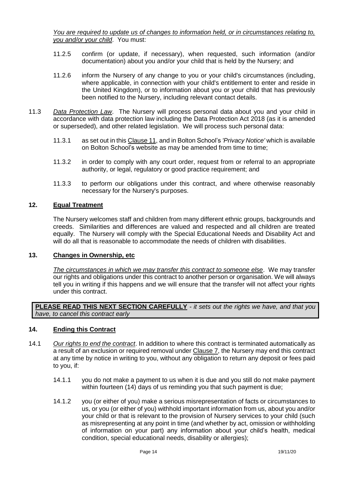*You are required to update us of changes to information held, or in circumstances relating to, you and/or your child*. You must:

- 11.2.5 confirm (or update, if necessary), when requested, such information (and/or documentation) about you and/or your child that is held by the Nursery; and
- 11.2.6 inform the Nursery of any change to you or your child's circumstances (including, where applicable, in connection with your child's entitlement to enter and reside in the United Kingdom), or to information about you or your child that has previously been notified to the Nursery, including relevant contact details.
- 11.3 *Data Protection Law*. The Nursery will process personal data about you and your child in accordance with data protection law including the Data Protection Act 2018 (as it is amended or superseded), and other related legislation. We will process such personal data:
	- 11.3.1 as set out in this Clause 11, and in Bolton School's *'Privacy Notice'* which is available on Bolton School's website as may be amended from time to time;
	- 11.3.2 in order to comply with any court order, request from or referral to an appropriate authority, or legal, regulatory or good practice requirement; and
	- 11.3.3 to perform our obligations under this contract, and where otherwise reasonably necessary for the Nursery's purposes.

#### **12. Equal Treatment**

The Nursery welcomes staff and children from many different ethnic groups, backgrounds and creeds. Similarities and differences are valued and respected and all children are treated equally. The Nursery will comply with the Special Educational Needs and Disability Act and will do all that is reasonable to accommodate the needs of children with disabilities.

#### **13. Changes in Ownership, etc**

*The circumstances in which we may transfer this contract to someone else*. We may transfer our rights and obligations under this contract to another person or organisation. We will always tell you in writing if this happens and we will ensure that the transfer will not affect your rights under this contract.

**PLEASE READ THIS NEXT SECTION CAREFULLY** *- it sets out the rights we have, and that you have, to cancel this contract early* 

#### **14. Ending this Contract**

- 14.1 *Our rights to end the contract*. In addition to where this contract is terminated automatically as a result of an exclusion or required removal under Clause 7, the Nursery may end this contract at any time by notice in writing to you, without any obligation to return any deposit or fees paid to you, if:
	- 14.1.1 you do not make a payment to us when it is due and you still do not make payment within fourteen (14) days of us reminding you that such payment is due;
	- 14.1.2 you (or either of you) make a serious misrepresentation of facts or circumstances to us, or you (or either of you) withhold important information from us, about you and/or your child or that is relevant to the provision of Nursery services to your child (such as misrepresenting at any point in time (and whether by act, omission or withholding of information on your part) any information about your child's health, medical condition, special educational needs, disability or allergies);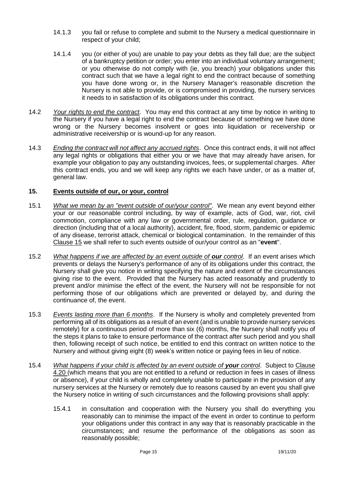- 14.1.3 you fail or refuse to complete and submit to the Nursery a medical questionnaire in respect of your child;
- 14.1.4 you (or either of you) are unable to pay your debts as they fall due; are the subject of a bankruptcy petition or order; you enter into an individual voluntary arrangement; or you otherwise do not comply with (ie, you breach) your obligations under this contract such that we have a legal right to end the contract because of something you have done wrong or, in the Nursery Manager's reasonable discretion the Nursery is not able to provide, or is compromised in providing, the nursery services it needs to in satisfaction of its obligations under this contract.
- 14.2 *Your rights to end the contract*. You may end this contract at any time by notice in writing to the Nursery if you have a legal right to end the contract because of something we have done wrong or the Nursery becomes insolvent or goes into liquidation or receivership or administrative receivership or is wound-up for any reason.
- 14.3 *Ending the contract will not affect any accrued rights*. Once this contract ends, it will not affect any legal rights or obligations that either you or we have that may already have arisen, for example your obligation to pay any outstanding invoices, fees, or supplemental charges. After this contract ends, you and we will keep any rights we each have under, or as a matter of, general law.

#### **15. Events outside of our, or your, control**

- 15.1 *What we mean by an "event outside of our/your control"*. We mean any event beyond either your or our reasonable control including, by way of example, acts of God, war, riot, civil commotion, compliance with any law or governmental order, rule, regulation, guidance or direction (including that of a local authority), accident, fire, flood, storm, pandemic or epidemic of any disease, terrorist attack, chemical or biological contamination. In the remainder of this Clause 15 we shall refer to such events outside of our/your control as an "**event**".
- 15.2 *What happens if we are affected by an event outside of our control*. If an event arises which prevents or delays the Nursery's performance of any of its obligations under this contract, the Nursery shall give you notice in writing specifying the nature and extent of the circumstances giving rise to the event. Provided that the Nursery has acted reasonably and prudently to prevent and/or minimise the effect of the event, the Nursery will not be responsible for not performing those of our obligations which are prevented or delayed by, and during the continuance of, the event.
- 15.3 *Events lasting more than 6 months*. If the Nursery is wholly and completely prevented from performing all of its obligations as a result of an event (and is unable to provide nursery services remotely) for a continuous period of more than six (6) months, the Nursery shall notify you of the steps it plans to take to ensure performance of the contract after such period and you shall then, following receipt of such notice, be entitled to end this contract on written notice to the Nursery and without giving eight (8) week's written notice or paying fees in lieu of notice.
- 15.4 *What happens if your child is affected by an event outside of your control*. Subject to Clause 4.20 (which means that you are not entitled to a refund or reduction in fees in cases of illness or absence), if your child is wholly and completely unable to participate in the provision of any nursery services at the Nursery or remotely due to reasons caused by an event you shall give the Nursery notice in writing of such circumstances and the following provisions shall apply:
	- 15.4.1 in consultation and cooperation with the Nursery you shall do everything you reasonably can to minimise the impact of the event in order to continue to perform your obligations under this contract in any way that is reasonably practicable in the circumstances; and resume the performance of the obligations as soon as reasonably possible;